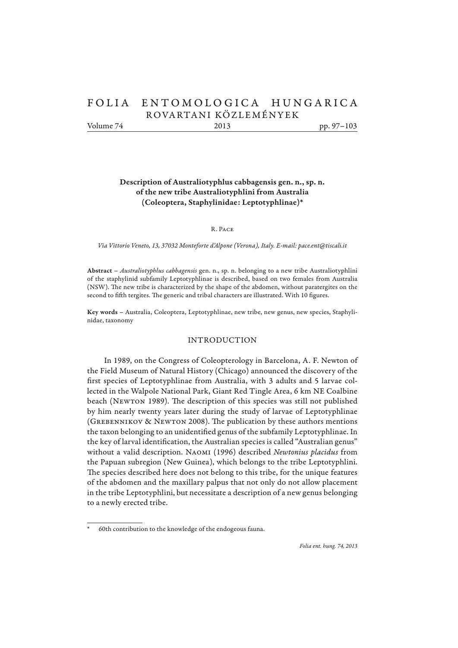# FOLIA ENTOMOLOGICA HUNGARICA ROVARTANI KÖZLE MÉN YEK Volume 74 2013 pp. 97–103

**Description of Australiotyphlus cabbagensis gen. n., sp. n. of the new tribe Australiotyphlini from Australia (Coleoptera, Staphylinidae: Leptotyphlinae)\***

R. Pace

*Via Vittorio Veneto, 13, 37032 Monteforte d'Alpone (Verona), Italy. E-mail: pace.ent@tiscali.it*

**Abstract** – *Australiotyphlus cabbagensis* gen. n., sp. n. belonging to a new tribe Australiotyphlini of the staphylinid subfamily Leptotyphlinae is described, based on two females from Australia (NSW). The new tribe is characterized by the shape of the abdomen, without paratergites on the second to fifth tergites. The generic and tribal characters are illustrated. With 10 figures.

**Key words** – Australia, Coleoptera, Leptotyphlinae, new tribe, new genus, new species, Staphylinidae, taxonomy

# INTRODUCTION

In 1989, on the Congress of Coleopterology in Barcelona, A. F. Newton of the Field Museum of Natural History (Chicago) announced the discovery of the first species of Leptotyphlinae from Australia, with 3 adults and 5 larvae collected in the Walpole National Park, Giant Red Tingle Area, 6 km NE Coalbine beach (NEWTON 1989). The description of this species was still not published by him nearly twenty years later during the study of larvae of Leptotyphlinae (GREBENNIKOV & NEWTON 2008). The publication by these authors mentions the taxon belonging to an unidentified genus of the subfamily Leptotyphlinae. In the key of larval identification, the Australian species is called "Australian genus" without a valid description. Naomi (1996) described *Newtonius placidus* from the Papuan subregion (New Guinea), which belongs to the tribe Leptotyphlini. The species described here does not belong to this tribe, for the unique features of the abdomen and the maxillary palpus that not only do not allow placement in the tribe Leptotyphlini, but necessitate a description of a new genus belonging to a newly erected tribe.

<sup>60</sup>th contribution to the knowledge of the endogeous fauna.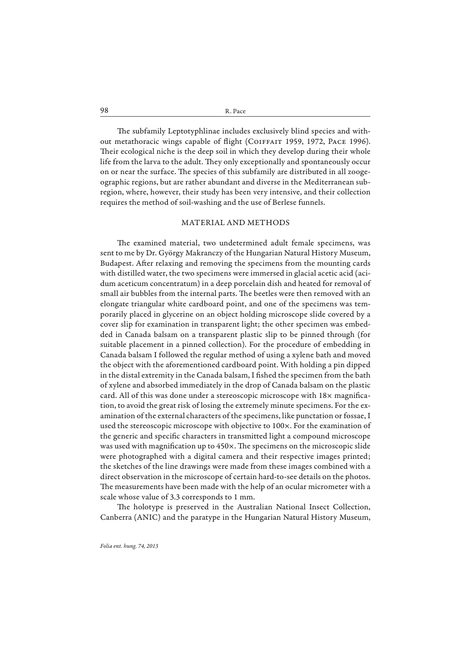98 R. Pace

The subfamily Leptotyphlinae includes exclusively blind species and without metathoracic wings capable of flight (COIFFAIT 1959, 1972, PACE 1996). Their ecological niche is the deep soil in which they develop during their whole life from the larva to the adult. They only exceptionally and spontaneously occur on or near the surface. The species of this subfamily are distributed in all zoogeographic regions, but are rather abundant and diverse in the Mediterranean subregion, where, however, their study has been very intensive, and their collection requires the method of soil-washing and the use of Berlese funnels.

#### MATERIAL AND METHODS

The examined material, two undetermined adult female specimens, was sent to me by Dr. György Makranczy of the Hungarian Natural History Museum, Budapest. After relaxing and removing the specimens from the mounting cards with distilled water, the two specimens were immersed in glacial acetic acid (acidum aceticum concentratum) in a deep porcelain dish and heated for removal of small air bubbles from the internal parts. The beetles were then removed with an elongate triangular white cardboard point, and one of the specimens was temporarily placed in glycerine on an object holding microscope slide covered by a cover slip for examination in transparent light; the other specimen was embedded in Canada balsam on a transparent plastic slip to be pinned through (for suitable placement in a pinned collection). For the procedure of embedding in Canada balsam I followed the regular method of using a xylene bath and moved the object with the aforementioned cardboard point. With holding a pin dipped in the distal extremity in the Canada balsam, I fished the specimen from the bath of xylene and absorbed immediately in the drop of Canada balsam on the plastic card. All of this was done under a stereoscopic microscope with  $18\times$  magnification, to avoid the great risk of losing the extremely minute specimens. For the examination of the external characters of the specimens, like punctation or fossae, I used the stereoscopic microscope with objective to 100×. For the examination of the generic and specific characters in transmitted light a compound microscope was used with magnification up to 450×. The specimens on the microscopic slide were photographed with a digital camera and their respective images printed; the sketches of the line drawings were made from these images combined with a direct observation in the microscope of certain hard-to-see details on the photos. The measurements have been made with the help of an ocular micrometer with a scale whose value of 3.3 corresponds to 1 mm.

The holotype is preserved in the Australian National Insect Collection, Canberra (ANIC) and the paratype in the Hungarian Natural History Museum,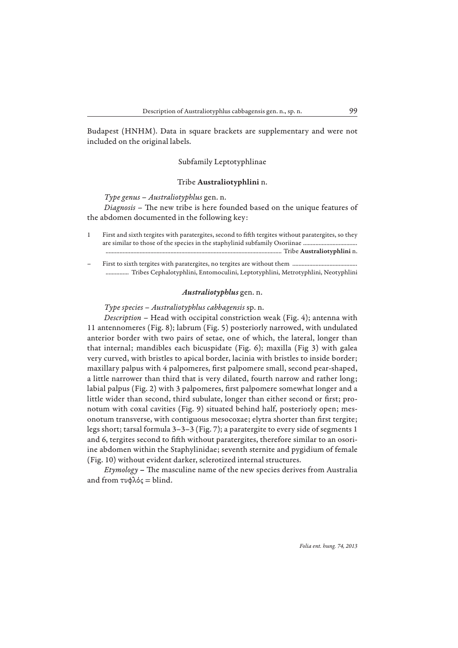Budapest (HNHM). Data in square brackets are supplementary and were not included on the original labels.

#### Subfamily Leptotyphlinae

# Tribe **Australiotyphlini** n.

*Type genus* – *Australiotyphlus* gen. n.

*Diagnosis* – The new tribe is here founded based on the unique features of the abdomen documented in the following key:

- 1 First and sixth tergites with paratergites, second to fifth tergites without paratergites, so they are similar to those of the species in the staphylinid subfamily Osoriinae ................................... .................................................................................................................. Tribe **Australiotyphlini** n.
- First to sixth tergites with paratergites, no tergites are without them ................... ............... Tribes Cephalotyphlini, Entomoculini, Leptotyphlini, Metrotyphlini, Neotyphlini

#### *Australiotyphlus* gen. n.

*Type species* – *Australiotyphlus cabbagensis* sp. n.

*Description* – Head with occipital constriction weak (Fig. 4); antenna with 11 antennomeres (Fig. 8); labrum (Fig. 5) posteriorly narrowed, with undulated anterior border with two pairs of setae, one of which, the lateral, longer than that internal; mandibles each bicuspidate (Fig. 6); maxilla (Fig 3) with galea very curved, with bristles to apical border, lacinia with bristles to inside border; maxillary palpus with 4 palpomeres, first palpomere small, second pear-shaped, a little narrower than third that is very dilated, fourth narrow and rather long; labial palpus (Fig. 2) with 3 palpomeres, first palpomere somewhat longer and a little wider than second, third subulate, longer than either second or first; pronotum with coxal cavities (Fig. 9) situated behind half, posteriorly open; mesonotum transverse, with contiguous mesocoxae; elytra shorter than first tergite; legs short; tarsal formula 3–3–3 (Fig. 7); a paratergite to every side of segments 1 and 6, tergites second to fifth without paratergites, therefore similar to an osoriine abdomen within the Staphylinidae; seventh sternite and pygidium of female (Fig. 10) without evident darker, sclerotized internal structures.

*Etymology* – The masculine name of the new species derives from Australia and from  $τυφλός = blind$ .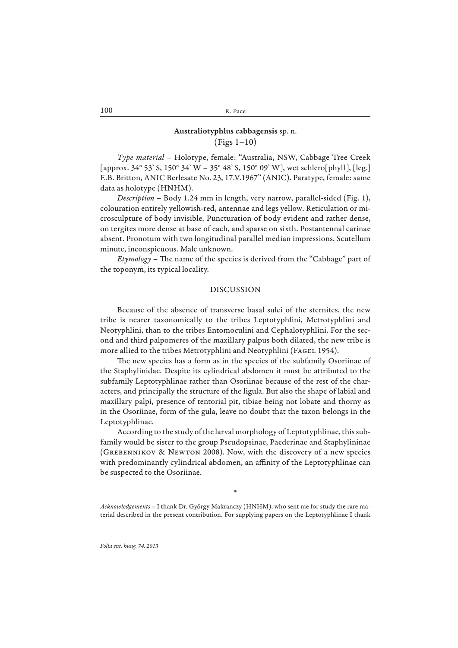# **Australiotyphlus cabbagensis** sp. n. (Figs 1–10)

*Type material* – Holotype, female: "Australia, NSW, Cabbage Tree Creek [approx. 34° 53' S, 150° 34' W – 35° 48' S, 150° 09' W], wet schlero[phyll], [leg.] E.B. Britton, ANIC Berlesate No. 23, 17.V.1967" (ANIC). Paratype, female: same data as holotype (HNHM).

*Description* – Body 1.24 mm in length, very narrow, parallel-sided (Fig. 1), colouration entirely yellowish-red, antennae and legs yellow. Reticulation or microsculpture of body invisible. Puncturation of body evident and rather dense, on tergites more dense at base of each, and sparse on sixth. Postantennal carinae absent. Pronotum with two longitudinal parallel median impressions. Scutellum minute, inconspicuous. Male unknown.

*Etymology* – The name of the species is derived from the "Cabbage" part of the toponym, its typical locality.

### DISCUSSION

Because of the absence of transverse basal sulci of the sternites, the new tribe is nearer taxonomically to the tribes Leptotyphlini, Metrotyphlini and Neotyphlini, than to the tribes Entomoculini and Cephalotyphlini. For the second and third palpomeres of the maxillary palpus both dilated, the new tribe is more allied to the tribes Metrotyphlini and Neotyphlini (FAGEL 1954).

The new species has a form as in the species of the subfamily Osoriinae of the Staphylinidae. Despite its cylindrical abdomen it must be attributed to the subfamily Leptotyphlinae rather than Osoriinae because of the rest of the characters, and principally the structure of the ligula. But also the shape of labial and maxillary palpi, presence of tentorial pit, tibiae being not lobate and thorny as in the Osoriinae, form of the gula, leave no doubt that the taxon belongs in the Leptotyphlinae.

According to the study of the larval morphology of Leptotyphlinae, this subfamily would be sister to the group Pseudopsinae, Paederinae and Staphylininae (Grebennikov & Newton 2008). Now, with the discovery of a new species with predominantly cylindrical abdomen, an affinity of the Leptotyphlinae can be suspected to the Osoriinae.

*Acknowledgements* **–** I thank Dr. György Makranczy (HNHM), who sent me for study the rare material described in the present contribution. For supplying papers on the Leptotyphlinae I thank

\*

*Folia ent. hung. 74, 2013*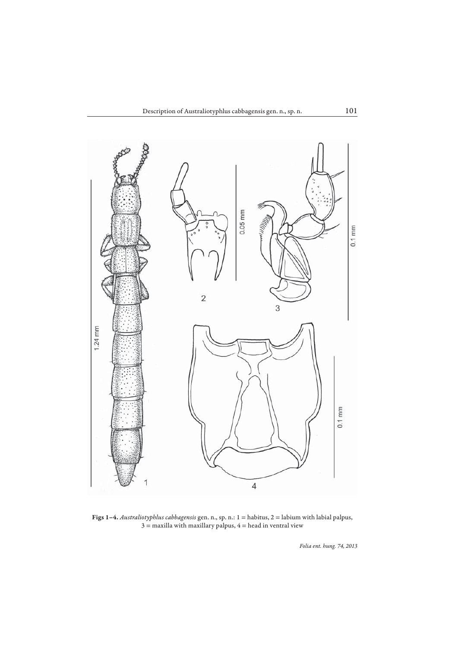

**Figs 1–4.** *Australiotyphlus cabbagensis* gen. n., sp. n.: 1 = habitus, 2 = labium with labial palpus,  $3$  = maxilla with maxillary palpus,  $4$  = head in ventral view

*Folia ent. hung. 74, 2013*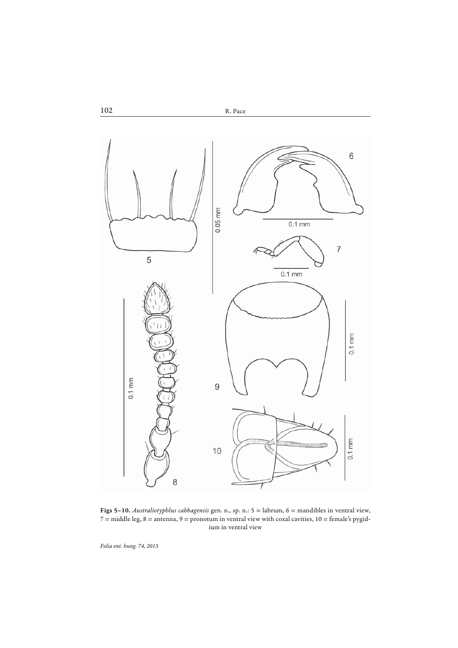

**Figs 5–10.** *Australiotyphlus cabbagensis* gen. n., sp. n.: 5 = labrum, 6 = mandibles in ventral view,  $7 =$  middle leg,  $8 =$  antenna,  $9 =$  pronotum in ventral view with coxal cavities,  $10 =$  female's pygidium in ventral view

*Folia ent. hung. 74, 2013*